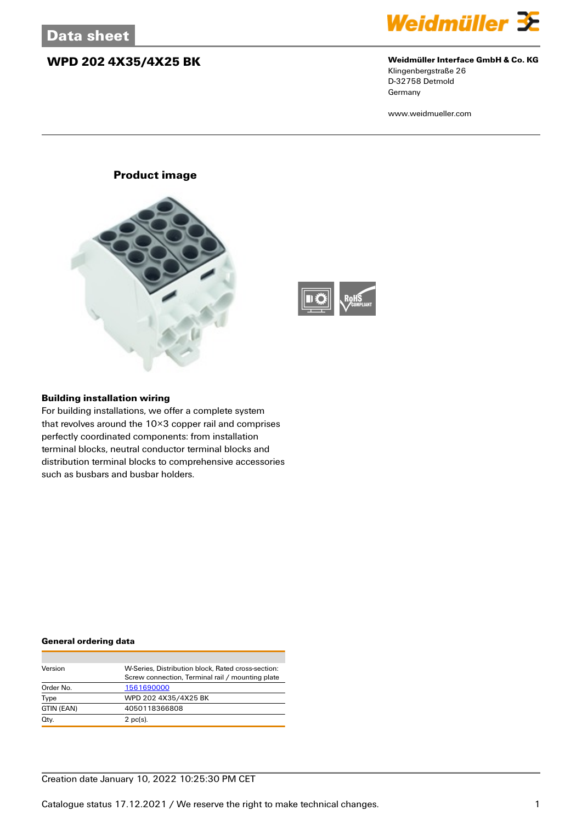## **WPD 202 4X35/4X25 BK Weidmüller Interface GmbH & Co. KG**



Klingenbergstraße 26 D-32758 Detmold Germany

www.weidmueller.com

## **Product image**





### **Building installation wiring**

For building installations, we offer a complete system that revolves around the 10×3 copper rail and comprises perfectly coordinated components: from installation terminal blocks, neutral conductor terminal blocks and distribution terminal blocks to comprehensive accessories such as busbars and busbar holders.

#### **General ordering data**

| Version    | W-Series, Distribution block, Rated cross-section: |
|------------|----------------------------------------------------|
|            | Screw connection, Terminal rail / mounting plate   |
| Order No.  | 1561690000                                         |
| Type       | WPD 202 4X35/4X25 BK                               |
| GTIN (EAN) | 4050118366808                                      |
| Qty.       | $2$ pc(s).                                         |

## Creation date January 10, 2022 10:25:30 PM CET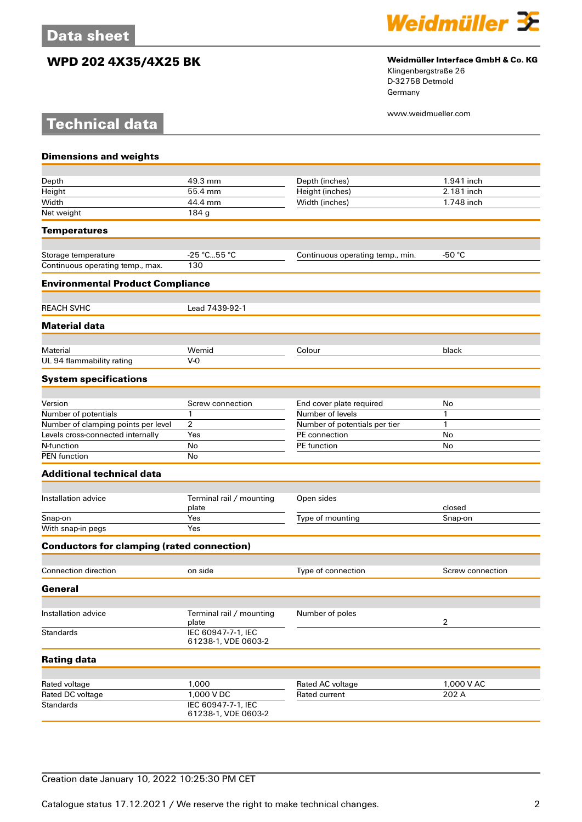**Technical data**

# **WPD 202 4X35/4X25 BK Weidmüller Interface GmbH & Co. KG**



Klingenbergstraße 26 D-32758 Detmold Germany

www.weidmueller.com

| <b>Dimensions and weights</b>                     |                                           |                                  |                  |
|---------------------------------------------------|-------------------------------------------|----------------------------------|------------------|
|                                                   |                                           |                                  |                  |
| Depth                                             | 49.3 mm                                   | Depth (inches)                   | 1.941 inch       |
| Height                                            | 55.4 mm                                   | Height (inches)                  | 2.181 inch       |
| Width                                             | 44.4 mm                                   | Width (inches)                   | 1.748 inch       |
| Net weight                                        | 184 g                                     |                                  |                  |
| <b>Temperatures</b>                               |                                           |                                  |                  |
| Storage temperature                               | -25 °C55 °C                               | Continuous operating temp., min. | -50 $^{\circ}$ C |
| Continuous operating temp., max.                  | 130                                       |                                  |                  |
| <b>Environmental Product Compliance</b>           |                                           |                                  |                  |
| <b>REACH SVHC</b>                                 | Lead 7439-92-1                            |                                  |                  |
| <b>Material data</b>                              |                                           |                                  |                  |
|                                                   |                                           |                                  |                  |
| Material                                          | Wemid                                     | Colour                           | black            |
| UL 94 flammability rating                         | $V-0$                                     |                                  |                  |
| <b>System specifications</b>                      |                                           |                                  |                  |
| Version                                           | Screw connection                          | End cover plate required         | No               |
| Number of potentials                              | $\mathbf{1}$                              | Number of levels                 | 1                |
| Number of clamping points per level               | 2                                         | Number of potentials per tier    | 1                |
| Levels cross-connected internally                 | Yes                                       | PE connection                    | No               |
| N-function                                        | No                                        | PE function                      | No               |
| <b>PEN</b> function                               | No                                        |                                  |                  |
| <b>Additional technical data</b>                  |                                           |                                  |                  |
|                                                   |                                           |                                  |                  |
| Installation advice                               | Terminal rail / mounting<br>plate         | Open sides                       | closed           |
| Snap-on                                           | Yes                                       | Type of mounting                 | Snap-on          |
| With snap-in pegs                                 | Yes                                       |                                  |                  |
| <b>Conductors for clamping (rated connection)</b> |                                           |                                  |                  |
| <b>Connection direction</b>                       | on side                                   | Type of connection               | Screw connection |
| General                                           |                                           |                                  |                  |
|                                                   |                                           |                                  |                  |
| Installation advice                               | Terminal rail / mounting<br>plate         | Number of poles                  | $\overline{2}$   |
| <b>Standards</b>                                  | IEC 60947-7-1, IEC<br>61238-1, VDE 0603-2 |                                  |                  |
| <b>Rating data</b>                                |                                           |                                  |                  |
|                                                   |                                           |                                  |                  |
| Rated voltage                                     | 1,000                                     | Rated AC voltage                 | 1,000 V AC       |
| Rated DC voltage                                  | 1,000 V DC                                | Rated current                    | 202 A            |
| <b>Standards</b>                                  | IEC 60947-7-1, IEC<br>61238-1, VDE 0603-2 |                                  |                  |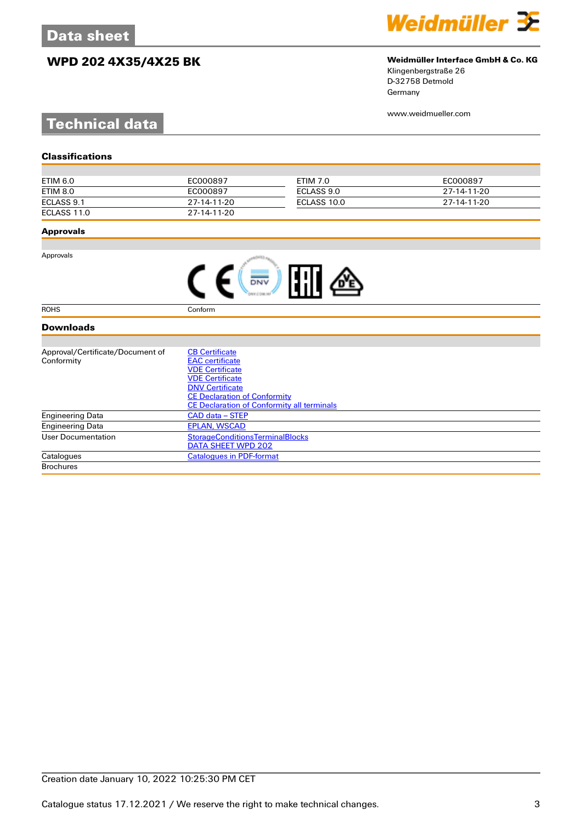# **WPD 202 4X35/4X25 BK Weidmüller Interface GmbH & Co. KG**



Klingenbergstraße 26 D-32758 Detmold Germany

www.weidmueller.com

# **Technical data**

| ETIM 6.0    | EC000897    | ETIM 7.0    | EC000897    |
|-------------|-------------|-------------|-------------|
| ETIM 8.0    | EC000897    | ECLASS 9.0  | 27-14-11-20 |
| ECLASS 9.1  | 27-14-11-20 | ECLASS 10.0 | 27-14-11-20 |
| ECLASS 11.0 | 27-14-11-20 |             |             |

### **Approvals**

Approvals

ROHS Conform

### **Downloads**

| Approval/Certificate/Document of | <b>CB Certificate</b>                             |  |  |
|----------------------------------|---------------------------------------------------|--|--|
| Conformity                       | <b>EAC</b> certificate                            |  |  |
|                                  | <b>VDE Certificate</b>                            |  |  |
|                                  | <b>VDE Certificate</b>                            |  |  |
|                                  | <b>DNV Certificate</b>                            |  |  |
|                                  | <b>CE Declaration of Conformity</b>               |  |  |
|                                  | <b>CE Declaration of Conformity all terminals</b> |  |  |
| <b>Engineering Data</b>          | CAD data – STEP                                   |  |  |
| <b>Engineering Data</b>          | <b>EPLAN, WSCAD</b>                               |  |  |
| User Documentation               | <b>StorageConditionsTerminalBlocks</b>            |  |  |
|                                  | DATA SHEET WPD 202                                |  |  |
| Catalogues                       | <b>Catalogues in PDF-format</b>                   |  |  |
| <b>Brochures</b>                 |                                                   |  |  |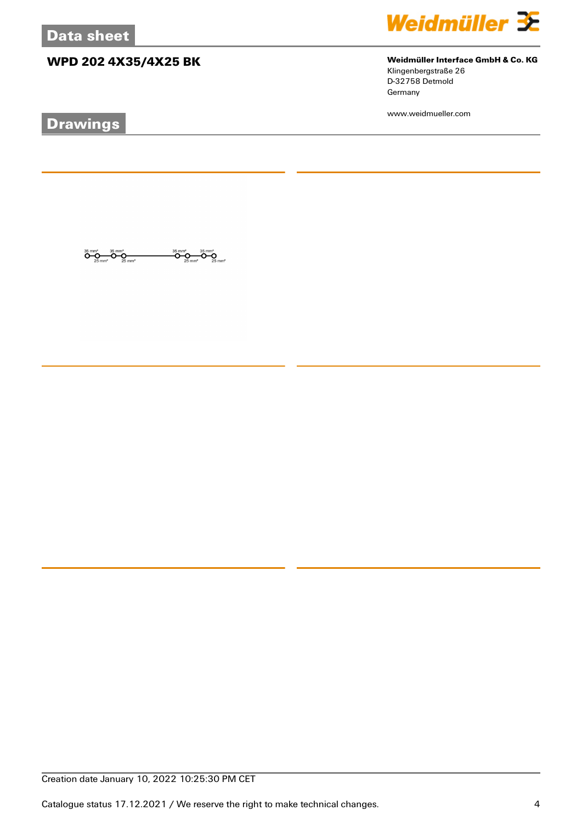# **WPD 202 4X35/4X25 BK Weidmüller Interface GmbH & Co. KG**

 $\overbrace{O}^{35}$ mm<sup>2</sup><br>25 mm<sup>2</sup>

ÖŖ

 $\overline{\mathbf{O}}\underset{25\text{ mm}^2}{\mathbf{O}}\overline{\mathbf{O}}\underset{25\text{ mm}^2}{\mathbf{O}}\overline{\mathbf{O}}\underset{25\text{ mm}^2}{\mathbf{O}}$ 

# **Drawings**



Klingenbergstraße 26 D-32758 Detmold Germany

www.weidmueller.com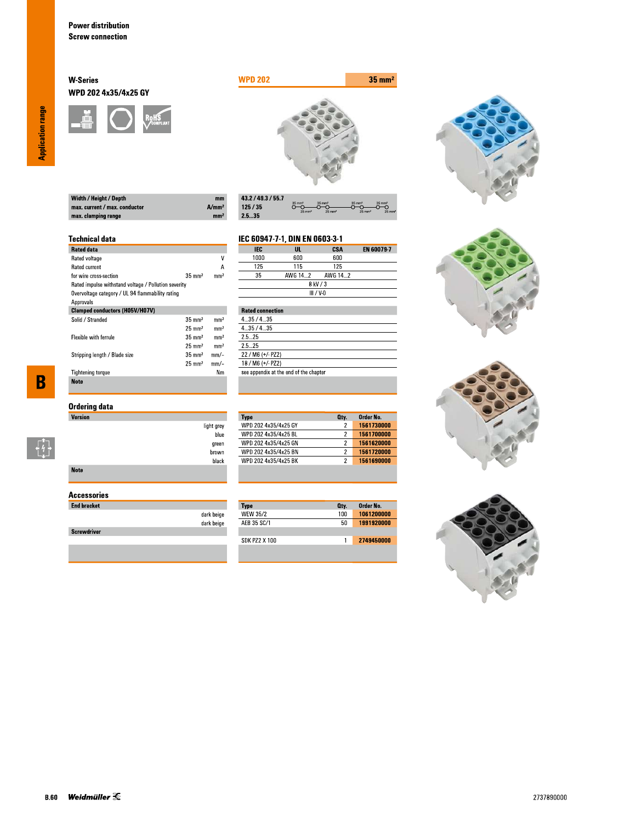### **W-Series** WPD 202 4x35/4x25 GY





| $m$  |
|------|
| A/mm |
| mm   |
|      |

| 43.2 / 49.3 / 55.7 |                                        |                                           |                                           |                                        |
|--------------------|----------------------------------------|-------------------------------------------|-------------------------------------------|----------------------------------------|
| 125/35             | $35 \text{ mm}^2$<br>$25 \text{ mm}^2$ | $35 \text{ mm}^2$<br>$25$ mm <sup>2</sup> | $35 \text{ mm}^2$<br>$25$ mm <sup>2</sup> | $35 \text{ mm}^2$<br>$25 \, \text{mm}$ |
| 2.535              |                                        |                                           |                                           |                                        |

#### **Technical data**

| <b>Rated data</b>                                    |                   |                 |
|------------------------------------------------------|-------------------|-----------------|
| Rated voltage                                        |                   | ٧               |
| <b>Rated current</b>                                 |                   | А               |
| for wire cross-section                               | $35 \text{ mm}^2$ | mm <sup>2</sup> |
| Rated impulse withstand voltage / Pollution severity |                   |                 |
| Overvoltage category / UL 94 flammability rating     |                   |                 |
| Approvals                                            |                   |                 |
| <b>Clamped conductors (H05V/H07V)</b>                |                   |                 |
| Solid / Stranded                                     | $35 \text{ mm}^2$ | mm <sup>2</sup> |
|                                                      | $25 \text{ mm}^2$ | mm <sup>2</sup> |
| <b>Flexible with ferrule</b>                         | $35 \text{ mm}^2$ | mm <sup>2</sup> |
|                                                      | $25 \text{ mm}^2$ | mm <sup>2</sup> |
| Stripping length / Blade size                        | $35 \text{ mm}^2$ | $mm$ -          |
|                                                      | $25 \text{ mm}^2$ | mm/-            |
| <b>Tightening torque</b>                             |                   | Nm              |
| <b>Note</b>                                          |                   |                 |

## **Ordering data**

| <b>Version</b> |                    |
|----------------|--------------------|
|                | light grey<br>blue |
|                | green              |
|                | brown              |
|                | black              |
| <b>Note</b>    |                    |

### **Accessories**

| <b>End bracket</b> |                          |
|--------------------|--------------------------|
|                    | dark beige<br>dark beige |
| <b>Screwdriver</b> |                          |
|                    |                          |

#### EN 60079-7 **IEC**  $\overline{\mathsf{u}}$ . **CSA** 1000  $600\,$  $600$  $\overline{125}$  $\overline{115}$  $\overline{125}$

IEC 60947-7-1, DIN EN 0603-3-1

**Type**<br>WPD 202 4x35/4x25 GY

WPD 202 4x35/4x25 BL

WPD 202 4x35/4x25 GN

WPD 202 4x35/4x25 BN<br>WPD 202 4x35/4x25 BK

Type<br>WEW 35/2

AEB 35 SC/1

**SDK PZ2 X 100** 

|             | $- - -$ | .       | .       |  |
|-------------|---------|---------|---------|--|
|             | 35      | AWG 142 | AWG 142 |  |
| 8 kV / 3    |         |         |         |  |
| $III / V-0$ |         |         |         |  |
|             |         |         |         |  |

| <b>Rated connection</b>                |
|----------------------------------------|
| 435/435                                |
| 435/435                                |
| 25 25                                  |
| 25 25                                  |
| 22 / M6 (+/- PZ2)                      |
| 18 / M6 (+/- PZ2)                      |
| see appendix at the end of the chapter |
|                                        |

Order No.

1561730000

1561700000

1561620000

1561690000

Order No.<br>1061200000

1991920000

2749450000

Oty.

 $\overline{2}$ 

 $\overline{2}$ 

 $\overline{2}$ 

 $\overline{2}$ 

Oty.  $100$ 

 $50\,$ 

 $\overline{1}$ 







**Application range** 

 $\overline{\mathbf{B}}$ 

 $\begin{bmatrix} 1 \\ 1 \\ 1 \end{bmatrix}$